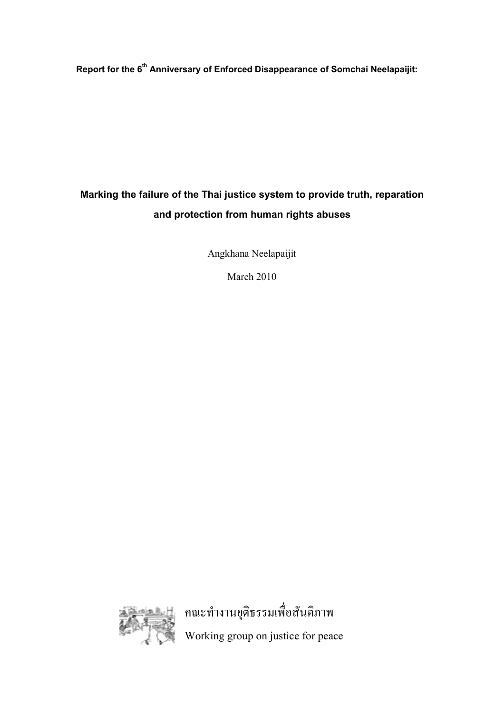**Report for the 6 th Anniversary of Enforced Disappearance of Somchai Neelapaijit:** 

# **Marking the failure of the Thai justice system to provide truth, reparation and protection from human rights abuses**

Angkhana Neelapaijit

March 2010



คณะทํางานยุติธรรมเพื่อสันติภาพ Working group on justice for peace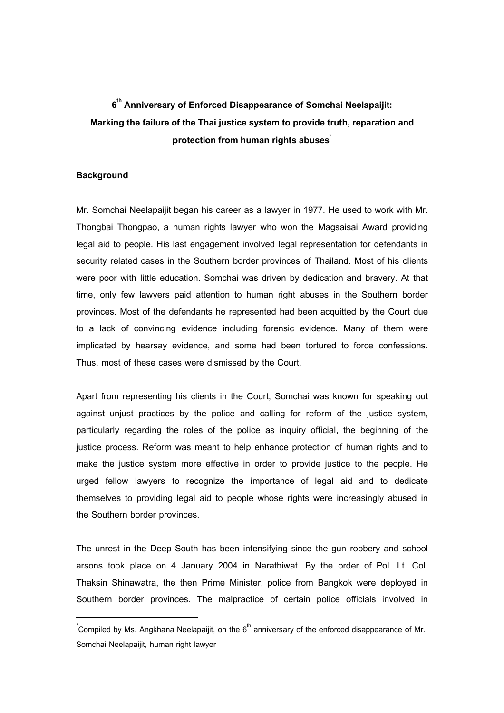# **6 th Anniversary of Enforced Disappearance of Somchai Neelapaijit: Marking the failure of the Thai justice system to provide truth, reparation and protection from human rightsabuses \***

#### **Background**

 $\overline{a}$ 

Mr. Somchai Neelapaijit began his career as a lawyer in 1977. He used to work with Mr. Thongbai Thongpao, a human rights lawyer who won the Magsaisai Award providing legal aid to people. His last engagement involved legal representation for defendants in security related cases in the Southern border provinces of Thailand. Most of his clients were poor with little education. Somchai was driven by dedication and bravery. At that time, only few lawyers paid attention to human right abuses in the Southern border provinces. Most of the defendants he represented had been acquitted by the Court due to a lack of convincing evidence including forensic evidence. Many of them were implicated by hearsay evidence, and some had been tortured to force confessions. Thus, most of these cases were dismissed by the Court.

Apart from representing his clients in the Court, Somchai was known for speaking out against unjust practices by the police and calling for reform of the justice system, particularly regarding the roles of the police as inquiry official, the beginning of the justice process. Reform was meant to help enhance protection of human rights and to make the justice system more effective in order to provide justice to the people. He urged fellow lawyers to recognize the importance of legal aid and to dedicate themselves to providing legal aid to people whose rights were increasingly abused in the Southern border provinces.

The unrest in the Deep South has been intensifying since the gun robbery and school arsons took place on 4 January 2004 in Narathiwat. By the order of Pol. Lt. Col. Thaksin Shinawatra, the then Prime Minister, police from Bangkok were deployed in Southern border provinces. The malpractice of certain police officials involved in

 $\check{}$ Compiled by Ms. Angkhana Neelapaijit, on the 6 $^{\sf th}$  anniversary of the enforced disappearance of Mr. Somchai Neelapaijit, human right lawyer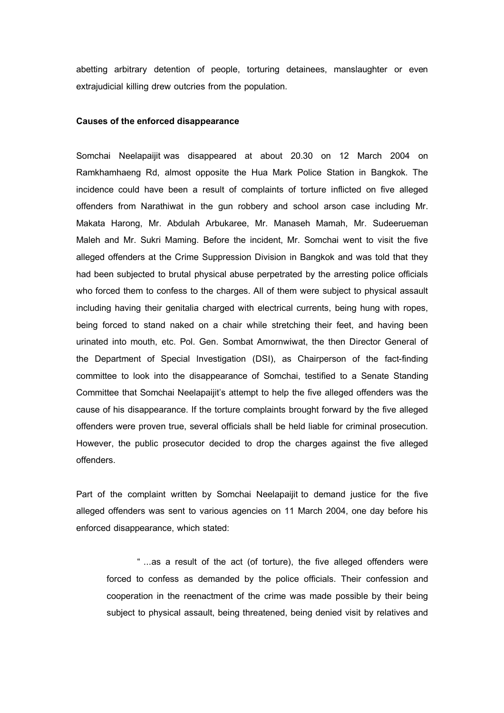abetting arbitrary detention of people, torturing detainees, manslaughter or even extrajudicial killing drew outcries from the population.

#### **Causes of the enforced disappearance**

Somchai Neelapaijit was disappeared at about 20.30 on 12 March 2004 on Ramkhamhaeng Rd, almost opposite the Hua Mark Police Station in Bangkok. The incidence could have been a result of complaints of torture inflicted on five alleged offenders from Narathiwat in the gun robbery and school arson case including Mr. Makata Harong, Mr. Abdulah Arbukaree, Mr. Manaseh Mamah, Mr. Sudeerueman Maleh and Mr. Sukri Maming. Before the incident, Mr. Somchai went to visit the five alleged offenders at the Crime Suppression Division in Bangkok and was told that they had been subjected to brutal physical abuse perpetrated by the arresting police officials who forced them to confess to the charges. All of them were subject to physical assault including having their genitalia charged with electrical currents, being hung with ropes, being forced to stand naked on a chair while stretching their feet, and having been urinated into mouth, etc. Pol. Gen. Sombat Amornwiwat, the then Director General of the Department of Special Investigation (DSI), as Chairperson of the fact-finding committee to look into the disappearance of Somchai, testified to a Senate Standing Committee that Somchai Neelapaijit's attempt to help the five alleged offenders was the cause of his disappearance. If the torture complaints brought forward by the five alleged offenders were proven true, several officials shall be held liable for criminal prosecution. However, the public prosecutor decided to drop the charges against the five alleged offenders.

Part of the complaint written by Somchai Neelapaijit to demand justice for the five alleged offenders was sent to various agencies on 11 March 2004, one day before his enforced disappearance, which stated:

" ...as a result of the act (of torture), the five alleged offenders were forced to confess as demanded by the police officials. Their confession and cooperation in the reenactment of the crime was made possible by their being subject to physical assault, being threatened, being denied visit by relatives and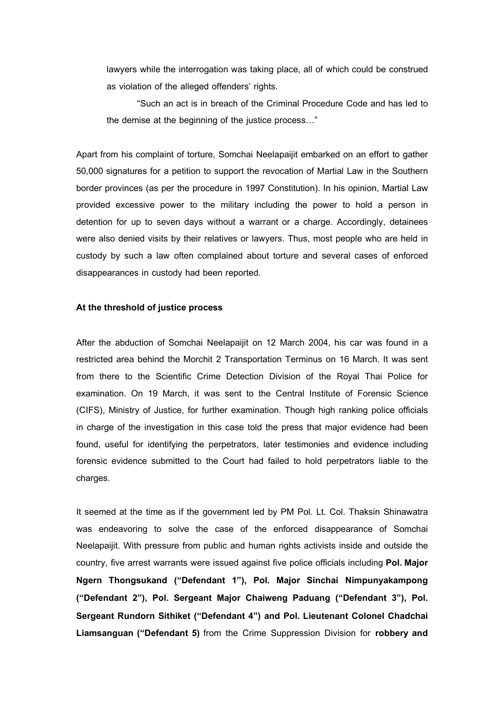lawyers while the interrogation was taking place, all of which could be construed as violation of the alleged offenders' rights.

"Such an act is in breach of the Criminal Procedure Code and has led to the demise at the beginning of the justice process…"

Apart from his complaint of torture, Somchai Neelapaijit embarked on an effort to gather 50,000 signatures for a petition to support the revocation of Martial Law in the Southern border provinces (as per the procedure in 1997 Constitution). In his opinion, Martial Law provided excessive power to the military including the power to hold a person in detention for up to seven days without a warrant or a charge. Accordingly, detainees were also denied visits by their relatives or lawyers. Thus, most people who are held in custody by such a law often complained about torture and several cases of enforced disappearances in custody had been reported.

#### **At the threshold of justice process**

After the abduction of Somchai Neelapaijit on 12 March 2004, his car was found in a restricted area behind the Morchit 2 Transportation Terminus on 16 March. It was sent from there to the Scientific Crime Detection Division of the Royal Thai Police for examination. On 19 March, it was sent to the Central Institute of Forensic Science (CIFS), Ministry of Justice, for further examination. Though high ranking police officials in charge of the investigation in this case told the press that major evidence had been found, useful for identifying the perpetrators, later testimonies and evidence including forensic evidence submitted to the Court had failed to hold perpetrators liable to the charges.

It seemed at the time as if the government led by PM Pol. Lt. Col. Thaksin Shinawatra was endeavoring to solve the case of the enforced disappearance of Somchai Neelapaijit. With pressure from public and human rights activists inside and outside the country, five arrest warrants were issued against five police officials including **Pol. Major Ngern Thongsukand ("Defendant 1"), Pol. Major Sinchai Nimpunyakampong ("Defendant 2"), Pol. Sergeant Major Chaiweng Paduang ("Defendant 3"), Pol. Sergeant Rundorn Sithiket ("Defendant 4") and Pol. Lieutenant Colonel Chadchai Liamsanguan ("Defendant 5)** from the Crime Suppression Division for **robbery and**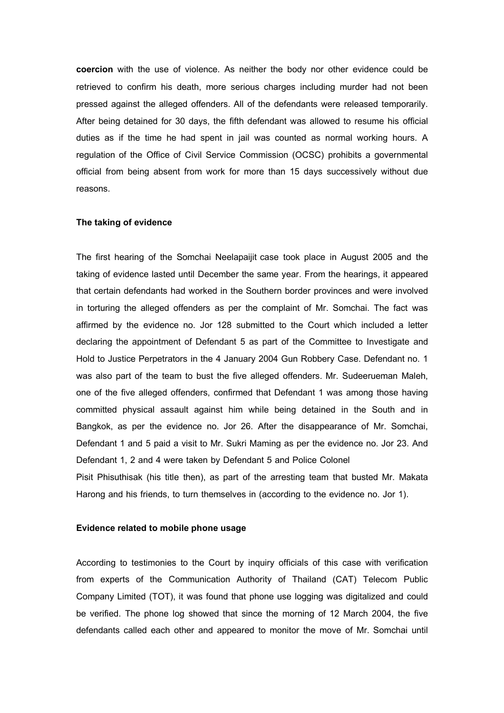**coercion** with the use of violence. As neither the body nor other evidence could be retrieved to confirm his death, more serious charges including murder had not been pressed against the alleged offenders. All of the defendants were released temporarily. After being detained for 30 days, the fifth defendant was allowed to resume his official duties as if the time he had spent in jail was counted as normal working hours. A regulation of the Office of Civil Service Commission (OCSC) prohibits a governmental official from being absent from work for more than 15 days successively without due reasons.

#### **The taking of evidence**

The first hearing of the Somchai Neelapaijit case took place in August 2005 and the taking of evidence lasted until December the same year. From the hearings, it appeared that certain defendants had worked in the Southern border provinces and were involved in torturing the alleged offenders as per the complaint of Mr. Somchai. The fact was affirmed by the evidence no. Jor 128 submitted to the Court which included a letter declaring the appointment of Defendant 5 as part of the Committee to Investigate and Hold to Justice Perpetrators in the 4 January 2004 Gun Robbery Case. Defendant no. 1 was also part of the team to bust the five alleged offenders. Mr. Sudeerueman Maleh, one of the five alleged offenders, confirmed that Defendant 1 was among those having committed physical assault against him while being detained in the South and in Bangkok, as per the evidence no. Jor 26. After the disappearance of Mr. Somchai, Defendant 1 and 5 paid a visit to Mr. Sukri Maming as per the evidence no. Jor 23. And Defendant 1, 2 and 4 were taken by Defendant 5 and Police Colonel Pisit Phisuthisak (his title then), as part of the arresting team that busted Mr. Makata Harong and his friends, to turn themselves in (according to the evidence no. Jor 1).

#### **Evidence related to mobile phone usage**

According to testimonies to the Court by inquiry officials of this case with verification from experts of the Communication Authority of Thailand (CAT) Telecom Public Company Limited (TOT), it was found that phone use logging was digitalized and could be verified. The phone log showed that since the morning of 12 March 2004, the five defendants called each other and appeared to monitor the move of Mr. Somchai until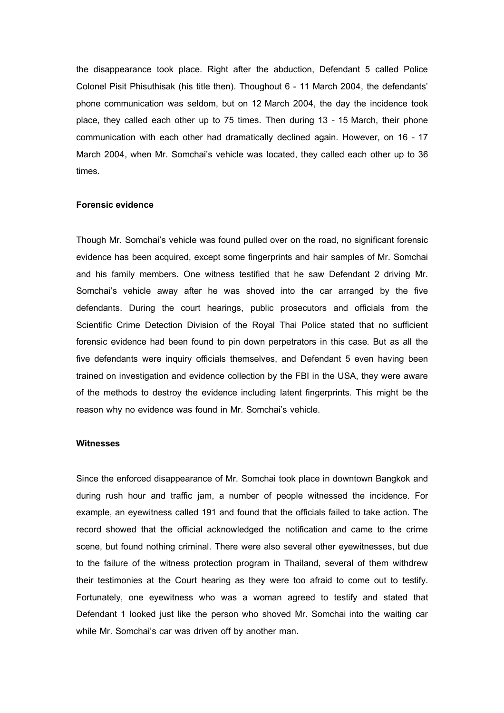the disappearance took place. Right after the abduction, Defendant 5 called Police Colonel Pisit Phisuthisak (his title then). Thoughout 6 - 11 March 2004, the defendants' phone communication was seldom, but on 12 March 2004, the day the incidence took place, they called each other up to 75 times. Then during 13 - 15 March, their phone communication with each other had dramatically declined again. However, on 16 - 17 March 2004, when Mr. Somchai's vehicle was located, they called each other up to 36 times.

# **Forensic evidence**

Though Mr. Somchai's vehicle was found pulled over on the road, no significant forensic evidence has been acquired, except some fingerprints and hair samples of Mr. Somchai and his family members. One witness testified that he saw Defendant 2 driving Mr. Somchai's vehicle away after he was shoved into the car arranged by the five defendants. During the court hearings, public prosecutors and officials from the Scientific Crime Detection Division of the Royal Thai Police stated that no sufficient forensic evidence had been found to pin down perpetrators in this case. But as all the five defendants were inquiry officials themselves, and Defendant 5 even having been trained on investigation and evidence collection by the FBI in the USA, they were aware of the methods to destroy the evidence including latent fingerprints. This might be the reason why no evidence was found in Mr. Somchai's vehicle.

# **Witnesses**

Since the enforced disappearance of Mr. Somchai took place in downtown Bangkok and during rush hour and traffic jam, a number of people witnessed the incidence. For example, an eyewitness called 191 and found that the officials failed to take action. The record showed that the official acknowledged the notification and came to the crime scene, but found nothing criminal. There were also several other eyewitnesses, but due to the failure of the witness protection program in Thailand, several of them withdrew their testimonies at the Court hearing as they were too afraid to come out to testify. Fortunately, one eyewitness who was a woman agreed to testify and stated that Defendant 1 looked just like the person who shoved Mr. Somchai into the waiting car while Mr. Somchai's car was driven off by another man.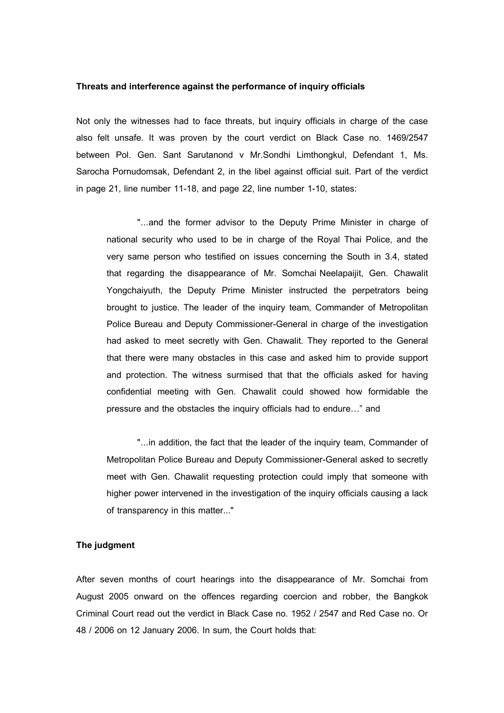#### **Threats and interference against the performance of inquiry officials**

Not only the witnesses had to face threats, but inquiry officials in charge of the case also felt unsafe. It was proven by the court verdict on Black Case no. 1469/2547 between Pol. Gen. Sant Sarutanond v Mr.Sondhi Limthongkul, Defendant 1, Ms. Sarocha Pornudomsak, Defendant 2, in the libel against official suit. Part of the verdict in page 21, line number 11-18, and page 22, line number 1-10, states:

"...and the former advisor to the Deputy Prime Minister in charge of national security who used to be in charge of the Royal Thai Police, and the very same person who testified on issues concerning the South in 3.4, stated that regarding the disappearance of Mr. Somchai Neelapaijit, Gen. Chawalit Yongchaiyuth, the Deputy Prime Minister instructed the perpetrators being brought to justice. The leader of the inquiry team, Commander of Metropolitan Police Bureau and Deputy Commissioner-General in charge of the investigation had asked to meet secretly with Gen. Chawalit. They reported to the General that there were many obstacles in this case and asked him to provide support and protection. The witness surmised that that the officials asked for having confidential meeting with Gen. Chawalit could showed how formidable the pressure and the obstacles the inquiry officials had to endure…" and

"...in addition, the fact that the leader of the inquiry team, Commander of Metropolitan Police Bureau and Deputy Commissioner-General asked to secretly meet with Gen. Chawalit requesting protection could imply that someone with higher power intervened in the investigation of the inquiry officials causing a lack of transparency in this matter..."

## **The judgment**

After seven months of court hearings into the disappearance of Mr. Somchai from August 2005 onward on the offences regarding coercion and robber, the Bangkok Criminal Court read out the verdict in Black Case no. 1952 / 2547 and Red Case no. Or 48 / 2006 on 12 January 2006. In sum, the Court holds that: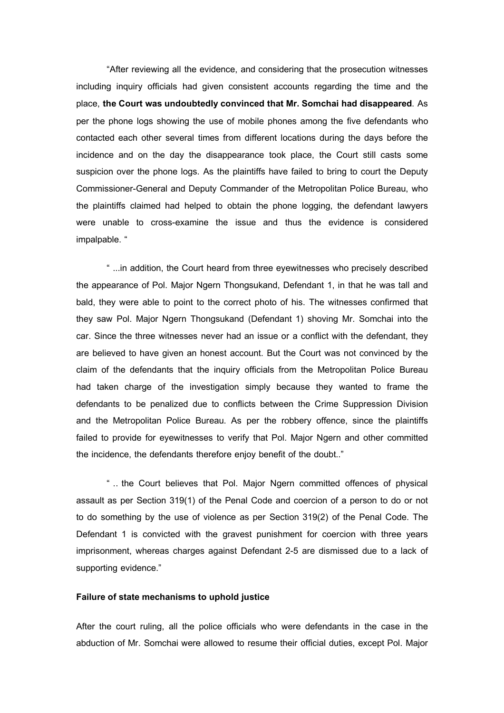"After reviewing all the evidence, and considering that the prosecution witnesses including inquiry officials had given consistent accounts regarding the time and the place, **the Court was undoubtedly convinced that Mr. Somchai had disappeared**. As per the phone logs showing the use of mobile phones among the five defendants who contacted each other several times from different locations during the days before the incidence and on the day the disappearance took place, the Court still casts some suspicion over the phone logs. As the plaintiffs have failed to bring to court the Deputy Commissioner-General and Deputy Commander of the Metropolitan Police Bureau, who the plaintiffs claimed had helped to obtain the phone logging, the defendant lawyers were unable to cross-examine the issue and thus the evidence is considered impalpable. "

" ...in addition, the Court heard from three eyewitnesses who precisely described the appearance of Pol. Major Ngern Thongsukand, Defendant 1, in that he was tall and bald, they were able to point to the correct photo of his. The witnesses confirmed that they saw Pol. Major Ngern Thongsukand (Defendant 1) shoving Mr. Somchai into the car. Since the three witnesses never had an issue or a conflict with the defendant, they are believed to have given an honest account. But the Court was not convinced by the claim of the defendants that the inquiry officials from the Metropolitan Police Bureau had taken charge of the investigation simply because they wanted to frame the defendants to be penalized due to conflicts between the Crime Suppression Division and the Metropolitan Police Bureau. As per the robbery offence, since the plaintiffs failed to provide for eyewitnesses to verify that Pol. Major Ngern and other committed the incidence, the defendants therefore enjoy benefit of the doubt.."

" .. the Court believes that Pol. Major Ngern committed offences of physical assault as per Section 319(1) of the Penal Code and coercion of a person to do or not to do something by the use of violence as per Section 319(2) of the Penal Code. The Defendant 1 is convicted with the gravest punishment for coercion with three years imprisonment, whereas charges against Defendant 2-5 are dismissed due to a lack of supporting evidence."

# **Failure of state mechanisms to uphold justice**

After the court ruling, all the police officials who were defendants in the case in the abduction of Mr. Somchai were allowed to resume their official duties, except Pol. Major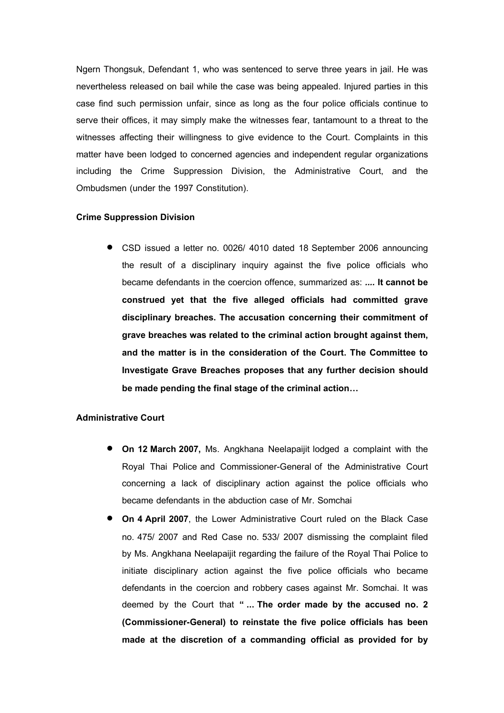Ngern Thongsuk, Defendant 1, who was sentenced to serve three years in jail. He was nevertheless released on bail while the case was being appealed. Injured parties in this case find such permission unfair, since as long as the four police officials continue to serve their offices, it may simply make the witnesses fear, tantamount to a threat to the witnesses affecting their willingness to give evidence to the Court. Complaints in this matter have been lodged to concerned agencies and independent regular organizations including the Crime Suppression Division, the Administrative Court, and the Ombudsmen (under the 1997 Constitution).

# **Crime Suppression Division**

 CSD issued a letter no. 0026/ 4010 dated 18 September 2006 announcing the result of a disciplinary inquiry against the five police officials who became defendants in the coercion offence, summarized as: *....* **It cannot be construed yet that the five alleged officials had committed grave disciplinary breaches. The accusation concerning their commitment of grave breaches was related to the criminal action brought against them, and the matter is in the consideration of the Court. The Committee to Investigate Grave Breaches proposes that any further decision should be made pending the final stage of the criminal action…** 

## **Administrative Court**

- **On 12 March 2007, Ms. Angkhana Neelapaijit lodged a complaint with the** Royal Thai Police and Commissioner-General of the Administrative Court concerning a lack of disciplinary action against the police officials who became defendants in the abduction case of Mr. Somchai
- **On 4 April 2007**, the Lower Administrative Court ruled on the Black Case no. 475/ 2007 and Red Case no. 533/ 2007 dismissing the complaint filed by Ms. Angkhana Neelapaijit regarding the failure of the Royal Thai Police to initiate disciplinary action against the five police officials who became defendants in the coercion and robbery cases against Mr. Somchai. It was deemed by the Court that **" ... The order made by the accused no. 2 (Commissioner-General) to reinstate the five police officials has been made at the discretion of a commanding official as provided for by**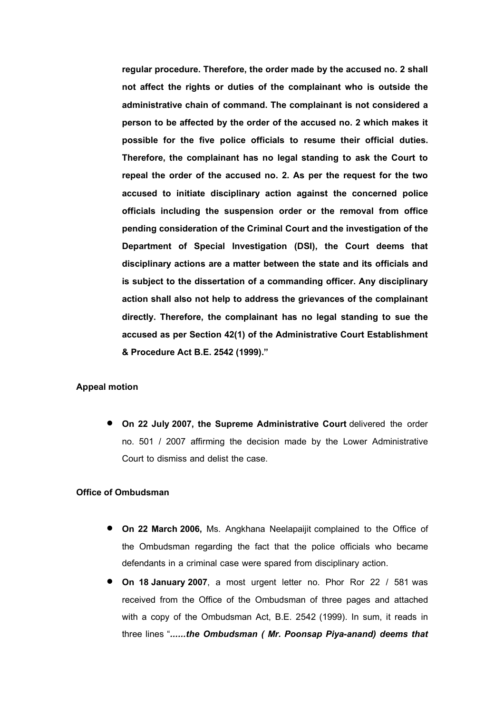regular procedure. Therefore, the order made by the accused no. 2 shall **not affect the rights or duties of the complainant who is outside the administrative chain of command. The complainant is not considered a person to be affected by the order of the accused no. 2 which makes it possible for the five police officials to resume their official duties. Therefore, the complainant has no legal standing to ask the Court to repeal the order of the accused no. 2. As per the request for the two accused to initiate disciplinary action against the concerned police officials including the suspension order or the removal from office pending consideration of the Criminal Court and the investigation of the Department of Special Investigation (DSI), the Court deems that disciplinary actions are a matter between the state and its officials and is subject to the dissertation of a commanding officer. Any disciplinary action shall also not help to address the grievances of the complainant directly. Therefore, the complainant has no legal standing to sue the accused as per Section 42(1) of the Administrative Court Establishment & Procedure Act B.E. 2542 (1999)."**

# **Appeal motion**

 **On 22 July 2007, the Supreme Administrative Court** delivered the order no. 501 / 2007 affirming the decision made by the Lower Administrative Court to dismiss and delist the case.

# **Office of Ombudsman**

- **On 22 March 2006, Ms. Angkhana Neelapaijit complained to the Office of** the Ombudsman regarding the fact that the police officials who became defendants in a criminal case were spared from disciplinary action.
- **On 18 January 2007**, a most urgent letter no. Phor Ror 22 / 581 was received from the Office of the Ombudsman of three pages and attached with a copy of the Ombudsman Act, B.E. 2542 (1999). In sum, it reads in three lines "*......the Ombudsman ( Mr. Poonsap Piya-anand) deems that*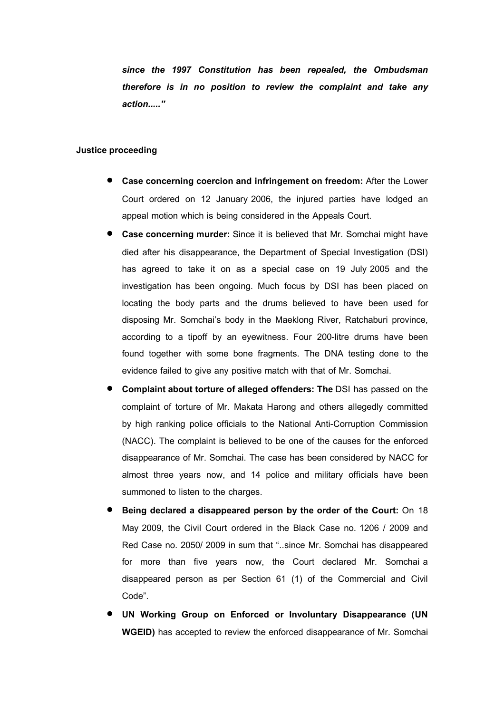*since the 1997 Constitution has been repealed, the Ombudsman therefore is in no position to review the complaint and take any action....."*

### **Justice proceeding**

- **Case concerning coercion and infringement on freedom:** After the Lower Court ordered on 12 January 2006, the injured parties have lodged an appeal motion which is being considered in the Appeals Court.
- **Case concerning murder:** Since it is believed that Mr. Somchai might have died after his disappearance, the Department of Special Investigation (DSI) has agreed to take it on as a special case on 19 July 2005 and the investigation has been ongoing. Much focus by DSI has been placed on locating the body parts and the drums believed to have been used for disposing Mr. Somchai's body in the Maeklong River, Ratchaburi province, according to a tipoff by an eyewitness. Four 200-litre drums have been found together with some bone fragments. The DNA testing done to the evidence failed to give any positive match with that of Mr. Somchai.
- **Complaint about torture of alleged offenders: The** DSI has passed on the complaint of torture of Mr. Makata Harong and others allegedly committed by high ranking police officials to the National Anti-Corruption Commission (NACC). The complaint is believed to be one of the causes for the enforced disappearance of Mr. Somchai. The case has been considered by NACC for almost three years now, and 14 police and military officials have been summoned to listen to the charges.
- **Being declared a disappeared person by the order of the Court:** On 18 May 2009, the Civil Court ordered in the Black Case no. 1206 / 2009 and Red Case no. 2050/ 2009 in sum that "..since Mr. Somchai has disappeared for more than five years now, the Court declared Mr. Somchai a disappeared person as per Section 61 (1) of the Commercial and Civil Code".
- **UN Working Group on Enforced or Involuntary Disappearance (UN WGEID)** has accepted to review the enforced disappearance of Mr. Somchai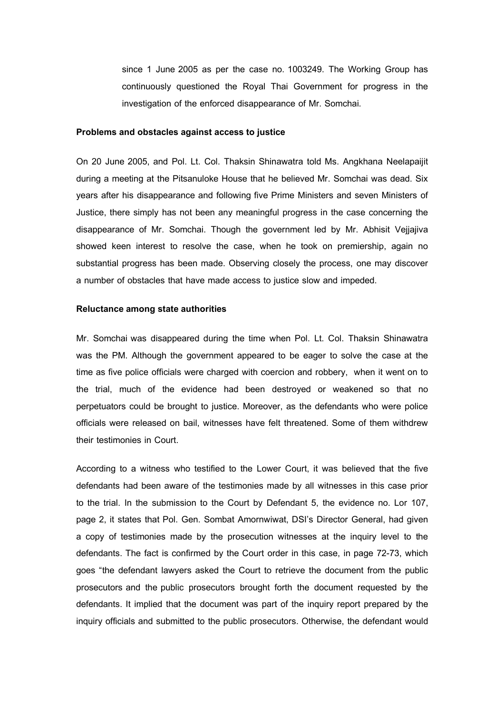since 1 June 2005 as per the case no. 1003249. The Working Group has continuously questioned the Royal Thai Government for progress in the investigation of the enforced disappearance of Mr. Somchai.

#### **Problems and obstacles against access to justice**

On 20 June 2005, and Pol. Lt. Col. Thaksin Shinawatra told Ms. Angkhana Neelapaijit during a meeting at the Pitsanuloke House that he believed Mr. Somchai was dead. Six years after his disappearance and following five Prime Ministers and seven Ministers of Justice, there simply has not been any meaningful progress in the case concerning the disappearance of Mr. Somchai. Though the government led by Mr. Abhisit Vejjajiva showed keen interest to resolve the case, when he took on premiership, again no substantial progress has been made. Observing closely the process, one may discover a number of obstacles that have made access to justice slow and impeded.

#### **Reluctance among state authorities**

Mr. Somchai was disappeared during the time when Pol. Lt. Col. Thaksin Shinawatra was the PM. Although the government appeared to be eager to solve the case at the time as five police officials were charged with coercion and robbery, when it went on to the trial, much of the evidence had been destroyed or weakened so that no perpetuators could be brought to justice. Moreover, as the defendants who were police officials were released on bail, witnesses have felt threatened. Some of them withdrew their testimonies in Court.

According to a witness who testified to the Lower Court, it was believed that the five defendants had been aware of the testimonies made by all witnesses in this case prior to the trial. In the submission to the Court by Defendant 5, the evidence no. Lor 107, page 2, it states that Pol. Gen. Sombat Amornwiwat, DSI's Director General, had given a copy of testimonies made by the prosecution witnesses at the inquiry level to the defendants. The fact is confirmed by the Court order in this case, in page 72-73, which goes "the defendant lawyers asked the Court to retrieve the document from the public prosecutors and the public prosecutors brought forth the document requested by the defendants. It implied that the document was part of the inquiry report prepared by the inquiry officials and submitted to the public prosecutors. Otherwise, the defendant would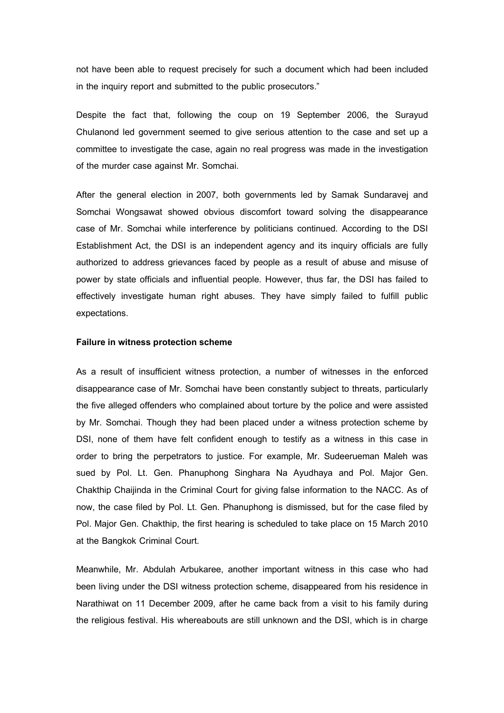not have been able to request precisely for such a document which had been included in the inquiry report and submitted to the public prosecutors."

Despite the fact that, following the coup on 19 September 2006, the Surayud Chulanond led government seemed to give serious attention to the case and set up a committee to investigate the case, again no real progress was made in the investigation of the murder case against Mr. Somchai.

After the general election in 2007, both governments led by Samak Sundaravej and Somchai Wongsawat showed obvious discomfort toward solving the disappearance case of Mr. Somchai while interference by politicians continued. According to the DSI Establishment Act, the DSI is an independent agency and its inquiry officials are fully authorized to address grievances faced by people as a result of abuse and misuse of power by state officials and influential people. However, thus far, the DSI has failed to effectively investigate human right abuses. They have simply failed to fulfill public expectations.

### **Failure in witness protection scheme**

As a result of insufficient witness protection, a number of witnesses in the enforced disappearance case of Mr. Somchai have been constantly subject to threats, particularly the five alleged offenders who complained about torture by the police and were assisted by Mr. Somchai. Though they had been placed under a witness protection scheme by DSI, none of them have felt confident enough to testify as a witness in this case in order to bring the perpetrators to justice. For example, Mr. Sudeerueman Maleh was sued by Pol. Lt. Gen. Phanuphong Singhara Na Ayudhaya and Pol. Major Gen. Chakthip Chaijinda in the Criminal Court for giving false information to the NACC. As of now, the case filed by Pol. Lt. Gen. Phanuphong is dismissed, but for the case filed by Pol. Major Gen. Chakthip, the first hearing is scheduled to take place on 15 March 2010 at the Bangkok Criminal Court.

Meanwhile, Mr. Abdulah Arbukaree, another important witness in this case who had been living under the DSI witness protection scheme, disappeared from his residence in Narathiwat on 11 December 2009, after he came back from a visit to his family during the religious festival. His whereabouts are still unknown and the DSI, which is in charge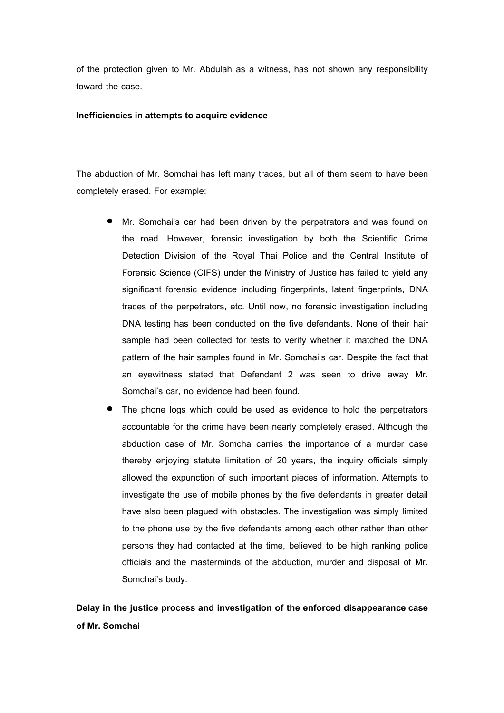of the protection given to Mr. Abdulah as a witness, has not shown any responsibility toward the case.

# **Inefficiencies in attempts to acquire evidence**

The abduction of Mr. Somchai has left many traces, but all of them seem to have been completely erased. For example:

- Mr. Somchai's car had been driven by the perpetrators and was found on the road. However, forensic investigation by both the Scientific Crime Detection Division of the Royal Thai Police and the Central Institute of Forensic Science (CIFS) under the Ministry of Justice has failed to yield any significant forensic evidence including fingerprints, latent fingerprints, DNA traces of the perpetrators, etc. Until now, no forensic investigation including DNA testing has been conducted on the five defendants. None of their hair sample had been collected for tests to verify whether it matched the DNA pattern of the hair samples found in Mr. Somchai's car. Despite the fact that an eyewitness stated that Defendant 2 was seen to drive away Mr. Somchai's car, no evidence had been found.
- The phone logs which could be used as evidence to hold the perpetrators accountable for the crime have been nearly completely erased. Although the abduction case of Mr. Somchai carries the importance of a murder case thereby enjoying statute limitation of 20 years, the inquiry officials simply allowed the expunction of such important pieces of information. Attempts to investigate the use of mobile phones by the five defendants in greater detail have also been plagued with obstacles. The investigation was simply limited to the phone use by the five defendants among each other rather than other persons they had contacted at the time, believed to be high ranking police officials and the masterminds of the abduction, murder and disposal of Mr. Somchai's body.

**Delay in the justice process and investigation of the enforced disappearance case of Mr. Somchai**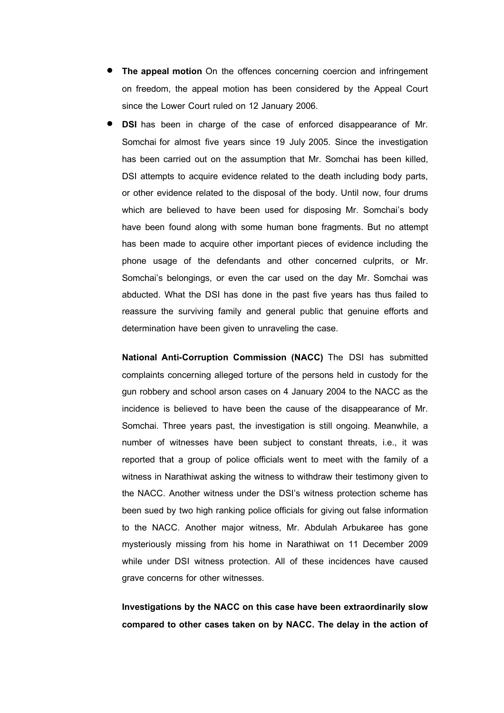- **The appeal motion** On the offences concerning coercion and infringement on freedom, the appeal motion has been considered by the Appeal Court since the Lower Court ruled on 12 January 2006.
- **DSI** has been in charge of the case of enforced disappearance of Mr. Somchai for almost five years since 19 July 2005. Since the investigation has been carried out on the assumption that Mr. Somchai has been killed, DSI attempts to acquire evidence related to the death including body parts, or other evidence related to the disposal of the body. Until now, four drums which are believed to have been used for disposing Mr. Somchai's body have been found along with some human bone fragments. But no attempt has been made to acquire other important pieces of evidence including the phone usage of the defendants and other concerned culprits, or Mr. Somchai's belongings, or even the car used on the day Mr. Somchai was abducted. What the DSI has done in the past five years has thus failed to reassure the surviving family and general public that genuine efforts and determination have been given to unraveling the case.

**National Anti-Corruption Commission (NACC)** The DSI has submitted complaints concerning alleged torture of the persons held in custody for the gun robbery and school arson cases on 4 January 2004 to the NACC as the incidence is believed to have been the cause of the disappearance of Mr. Somchai. Three years past, the investigation is still ongoing. Meanwhile, a number of witnesses have been subject to constant threats, i.e., it was reported that a group of police officials went to meet with the family of a witness in Narathiwat asking the witness to withdraw their testimony given to the NACC. Another witness under the DSI's witness protection scheme has been sued by two high ranking police officials for giving out false information to the NACC. Another major witness, Mr. Abdulah Arbukaree has gone mysteriously missing from his home in Narathiwat on 11 December 2009 while under DSI witness protection. All of these incidences have caused grave concerns for other witnesses.

**Investigationsby the NACC on this case have been extraordinarily slow compared to other cases taken on by NACC. The delay in the action of**